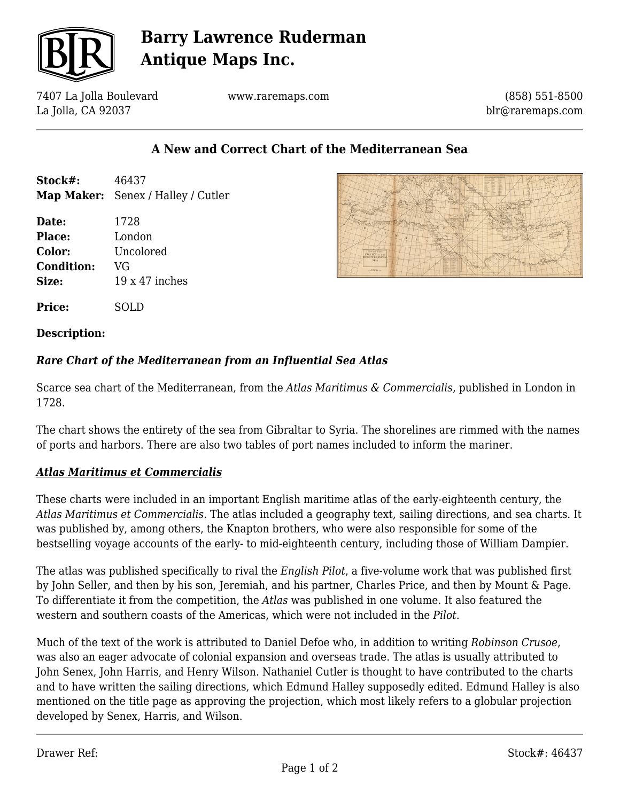

# **Barry Lawrence Ruderman Antique Maps Inc.**

7407 La Jolla Boulevard La Jolla, CA 92037

www.raremaps.com

(858) 551-8500 blr@raremaps.com

## **A New and Correct Chart of the Mediterranean Sea**

| Stock#: | 46437                                     |
|---------|-------------------------------------------|
|         | <b>Map Maker:</b> Senex / Halley / Cutler |

**Date:** 1728 **Place:** London **Color:** Uncolored **Condition:** VG **Size:** 19 x 47 inches



**Price:** SOLD

#### **Description:**

### *Rare Chart of the Mediterranean from an Influential Sea Atlas*

Scarce sea chart of the Mediterranean, from the *Atlas Maritimus & Commercialis*, published in London in 1728.

The chart shows the entirety of the sea from Gibraltar to Syria. The shorelines are rimmed with the names of ports and harbors. There are also two tables of port names included to inform the mariner.

### *Atlas Maritimus et Commercialis*

These charts were included in an important English maritime atlas of the early-eighteenth century, the *Atlas Maritimus et Commercialis.* The atlas included a geography text, sailing directions, and sea charts. It was published by, among others, the Knapton brothers, who were also responsible for some of the bestselling voyage accounts of the early- to mid-eighteenth century, including those of William Dampier.

The atlas was published specifically to rival the *English Pilot*, a five-volume work that was published first by John Seller, and then by his son, Jeremiah, and his partner, Charles Price, and then by Mount & Page. To differentiate it from the competition, the *Atlas* was published in one volume. It also featured the western and southern coasts of the Americas, which were not included in the *Pilot*.

Much of the text of the work is attributed to Daniel Defoe who, in addition to writing *Robinson Crusoe*, was also an eager advocate of colonial expansion and overseas trade. The atlas is usually attributed to John Senex, John Harris, and Henry Wilson. Nathaniel Cutler is thought to have contributed to the charts and to have written the sailing directions, which Edmund Halley supposedly edited. Edmund Halley is also mentioned on the title page as approving the projection, which most likely refers to a globular projection developed by Senex, Harris, and Wilson.